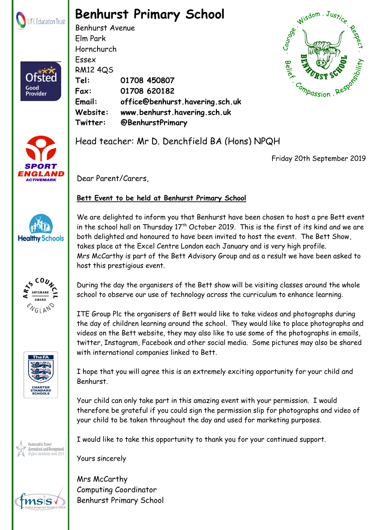

Ofster

Good<br>Provider

## **Benhurst Primary School**

Benhurst Avenue Elm Park Hornchurch Essex RM12 4QS **Tel: 01708 450807 Fax: 01708 620182 Email: office@benhurst.havering.sch.uk Website: www.benhurst.havering.sch.uk Twitter: @BenhurstPrimary**





Head teacher: Mr D. Denchfield BA (Hons) NPQH

Friday 20th September 2019

Dear Parent/Carers,

## **Bett Event to be held at Benhurst Primary School**



**ARTSMARK AWARD ENGLAND** 



Sustainable Travel ccredited and Recognised We are delighted to inform you that Benhurst have been chosen to host a pre Bett event in the school hall on Thursday  $17<sup>th</sup>$  October 2019. This is the first of its kind and we are both delighted and honoured to have been invited to host the event. The Bett Show, takes place at the Excel Centre London each January and is very high profile. Mrs McCarthy is part of the Bett Advisory Group and as a result we have been asked to host this prestigious event.

During the day the organisers of the Bett show will be visiting classes around the whole school to observe our use of technology across the curriculum to enhance learning.

ITE Group Plc the organisers of Bett would like to take videos and photographs during the day of children learning around the school. They would like to place photographs and videos on the Bett website, they may also like to use some of the photographs in emails, twitter, Instagram, Facebook and other social media. Some pictures may also be shared with international companies linked to Bett.

I hope that you will agree this is an extremely exciting opportunity for your child and Benhurst.

Your child can only take part in this amazing event with your permission. I would therefore be grateful if you could sign the permission slip for photographs and video of your child to be taken throughout the day and used for marketing purposes.

I would like to take this opportunity to thank you for your continued support.

Yours sincerely

 $B \subset \mathbb{R}$  Rephurst Primary School part of LIFE Education Trust. Registered in England  $\mathbb{R}$ **Benhurst Primary School Registers** Brentwood Road, Registers Brentwood Road, RM1 2007 Mrs McCarthy Computing Coordinator